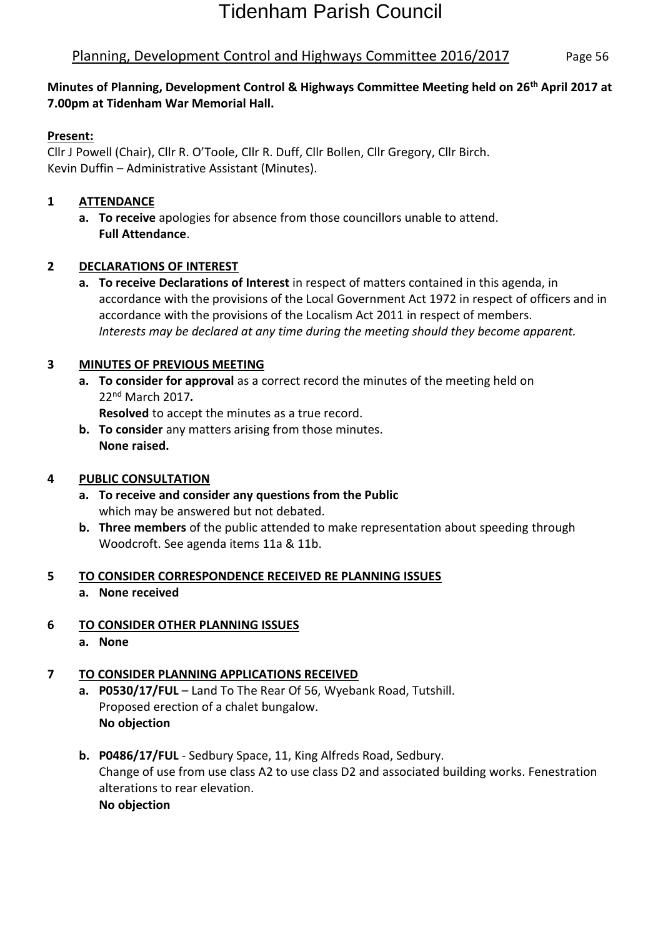## Planning, Development Control and Highways Committee 2016/2017 Page 56

#### **Minutes of Planning, Development Control & Highways Committee Meeting held on 26th April 2017 at 7.00pm at Tidenham War Memorial Hall.**

#### **Present:**

Cllr J Powell (Chair), Cllr R. O'Toole, Cllr R. Duff, Cllr Bollen, Cllr Gregory, Cllr Birch. Kevin Duffin – Administrative Assistant (Minutes).

#### **1 ATTENDANCE**

**a. To receive** apologies for absence from those councillors unable to attend. **Full Attendance**.

#### **2 DECLARATIONS OF INTEREST**

**a. To receive Declarations of Interest** in respect of matters contained in this agenda, in accordance with the provisions of the Local Government Act 1972 in respect of officers and in accordance with the provisions of the Localism Act 2011 in respect of members. *Interests may be declared at any time during the meeting should they become apparent.*

#### **3 MINUTES OF PREVIOUS MEETING**

**a. To consider for approval** as a correct record the minutes of the meeting held on 22nd March 2017*.*

**Resolved** to accept the minutes as a true record.

**b. To consider** any matters arising from those minutes. **None raised.**

#### **4 PUBLIC CONSULTATION**

- **a. To receive and consider any questions from the Public** which may be answered but not debated.
- **b. Three members** of the public attended to make representation about speeding through Woodcroft. See agenda items 11a & 11b.

#### **5 TO CONSIDER CORRESPONDENCE RECEIVED RE PLANNING ISSUES**

**a. None received**

### **6 TO CONSIDER OTHER PLANNING ISSUES**

**a. None**

### **7 TO CONSIDER PLANNING APPLICATIONS RECEIVED**

- **a. P0530/17/FUL** Land To The Rear Of 56, Wyebank Road, Tutshill. [Proposed erection of a chalet bungalow.](https://publicaccess.fdean.gov.uk/online-applications/applicationDetails.do?activeTab=summary&keyVal=ONOKWEHIM3800) **No objection**
- **b. P0486/17/FUL** Sedbury Space, 11, King Alfreds Road, Sedbury. [Change of use from use class A2 to use class D2 and associated building works. Fenestration](https://publicaccess.fdean.gov.uk/online-applications/applicationDetails.do?activeTab=summary&keyVal=ONBJIDHI0AF00)  [alterations to rear elevation.](https://publicaccess.fdean.gov.uk/online-applications/applicationDetails.do?activeTab=summary&keyVal=ONBJIDHI0AF00)  **No objection**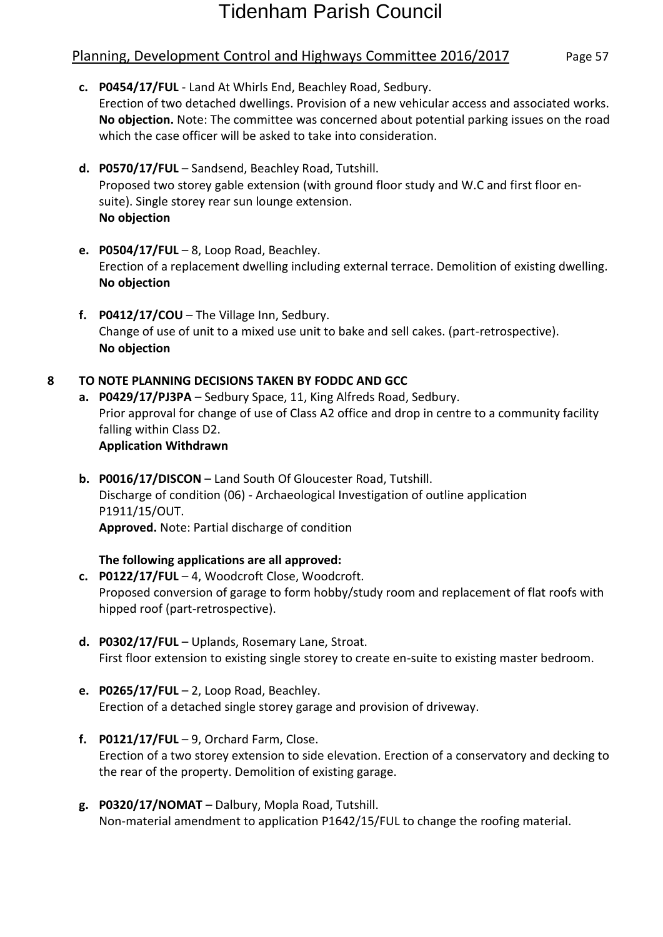## Planning, Development Control and Highways Committee 2016/2017 Page 57

- **c. P0454/17/FUL** Land At Whirls End, Beachley Road, Sedbury. [Erection of two detached dwellings. Provision of a new vehicular access and associated works.](https://publicaccess.fdean.gov.uk/online-applications/applicationDetails.do?activeTab=summary&keyVal=ON5ZEZHIM0I00) **No objection.** Note: [The committee was concerned about potential parking issues on the road](https://publicaccess.fdean.gov.uk/online-applications/applicationDetails.do?activeTab=summary&keyVal=ON5ZEZHIM0I00)  which the case officer [will be asked to take into consideration.](https://publicaccess.fdean.gov.uk/online-applications/applicationDetails.do?activeTab=summary&keyVal=ON5ZEZHIM0I00)
- **d. P0570/17/FUL** Sandsend, Beachley Road, Tutshill. [Proposed two storey gable extension \(with ground floor study and W.C and first floor en](https://publicaccess.fdean.gov.uk/online-applications/applicationDetails.do?activeTab=summary&keyVal=OO1ERAHI0AF00)[suite\). Single storey rear sun lounge extension.](https://publicaccess.fdean.gov.uk/online-applications/applicationDetails.do?activeTab=summary&keyVal=OO1ERAHI0AF00)  **No objection**
- **e. P0504/17/FUL** 8, Loop Road, Beachley. [Erection of a replacement dwelling including external terrace. Demolition of existing dwelling.](https://publicaccess.fdean.gov.uk/online-applications/applicationDetails.do?activeTab=summary&keyVal=ONIK7OHIM1Y00)  **No objection**
- **f. P0412/17/COU** The Village Inn, Sedbury. [Change of use of unit to a mixed use unit to bake and sell cakes. \(part-retrospective\).](https://publicaccess.fdean.gov.uk/online-applications/applicationDetails.do?activeTab=summary&keyVal=OMUVFOHILZ400) **[No objection](https://publicaccess.fdean.gov.uk/online-applications/applicationDetails.do?activeTab=summary&keyVal=OMUVFOHILZ400)**

#### **8 TO NOTE PLANNING DECISIONS TAKEN BY FODDC AND GCC**

- **a. P0429/17/PJ3PA** Sedbury Space, 11, King Alfreds Road, Sedbury. [Prior approval for change of use of Class A2 office and drop in centre to a community facility](https://publicaccess.fdean.gov.uk/online-applications/applicationDetails.do?activeTab=summary&keyVal=OMWVLPHI0AF00)  [falling within Class D2.](https://publicaccess.fdean.gov.uk/online-applications/applicationDetails.do?activeTab=summary&keyVal=OMWVLPHI0AF00)  **Application Withdrawn**
- **b. P0016/17/DISCON** Land South Of Gloucester Road, Tutshill. Discharge of condition (06) - [Archaeological Investigation of outline application](https://publicaccess.fdean.gov.uk/online-applications/applicationDetails.do?activeTab=summary&keyVal=OLOL6XHILU400)  [P1911/15/OUT.](https://publicaccess.fdean.gov.uk/online-applications/applicationDetails.do?activeTab=summary&keyVal=OLOL6XHILU400)  **Approved.** Note: Partial discharge of condition

#### **The following applications are all approved:**

- **c. P0122/17/FUL** 4, Woodcroft Close, Woodcroft. [Proposed conversion of garage to form hobby/study room and replacement of flat roofs with](https://publicaccess.fdean.gov.uk/online-applications/applicationDetails.do?activeTab=summary&keyVal=OKAD5MHI0AF00)  [hipped roof \(part-retrospective\).](https://publicaccess.fdean.gov.uk/online-applications/applicationDetails.do?activeTab=summary&keyVal=OKAD5MHI0AF00)
- **d. P0302/17/FUL** Uplands, Rosemary Lane, Stroat. [First floor extension to existing single storey to create en-suite to existing master bedroom.](https://publicaccess.fdean.gov.uk/online-applications/applicationDetails.do?activeTab=summary&keyVal=OM0XN9HILVA00)
- **e. P0265/17/FUL** 2, Loop Road, Beachley. [Erection of a detached single storey garage and provision of driveway.](https://publicaccess.fdean.gov.uk/online-applications/applicationDetails.do?activeTab=summary&keyVal=OLNYYJHILTU00)
- **f. P0121/17/FUL** 9, Orchard Farm, Close. [Erection of a two storey extension to side elevation. Erection of a conservatory and decking to](https://publicaccess.fdean.gov.uk/online-applications/applicationDetails.do?activeTab=summary&keyVal=OKABW2HI0AF00)  the [rear of the property. Demolition of existing garage.](https://publicaccess.fdean.gov.uk/online-applications/applicationDetails.do?activeTab=summary&keyVal=OKABW2HI0AF00)
- **g. P0320/17/NOMAT** Dalbury, Mopla Road, Tutshill. Non-material amendment to application P1642/15/FUL to change the roofing material.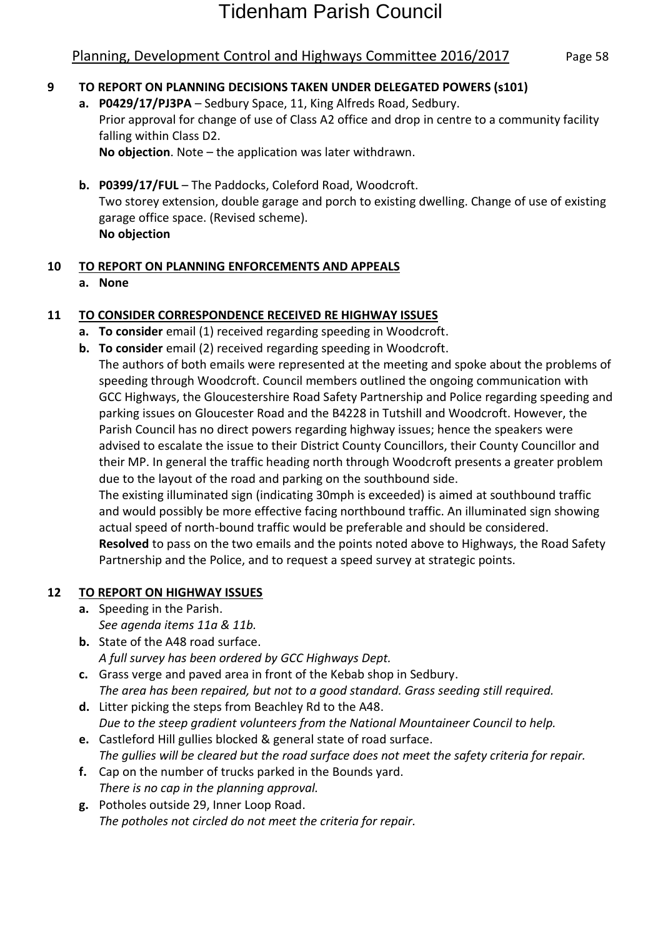## Planning, Development Control and Highways Committee 2016/2017 Page 58

#### **9 TO REPORT ON PLANNING DECISIONS TAKEN UNDER DELEGATED POWERS (s101)**

- **a. P0429/17/PJ3PA** Sedbury Space, 11, King Alfreds Road, Sedbury. [Prior approval for change of use of Class A2 office and drop in centre to a community facility](https://publicaccess.fdean.gov.uk/online-applications/applicationDetails.do?activeTab=summary&keyVal=OMWVLPHI0AF00)  [falling within Class D2.](https://publicaccess.fdean.gov.uk/online-applications/applicationDetails.do?activeTab=summary&keyVal=OMWVLPHI0AF00)  **No objection**. Note – the application was later withdrawn.
- **b. P0399/17/FUL** The Paddocks, Coleford Road, Woodcroft. [Two storey extension, double garage and porch to existing dwelling. Change of use of existing](https://publicaccess.fdean.gov.uk/online-applications/applicationDetails.do?activeTab=summary&keyVal=OMT6DVHILYK00)  [garage office space. \(Revised scheme\).](https://publicaccess.fdean.gov.uk/online-applications/applicationDetails.do?activeTab=summary&keyVal=OMT6DVHILYK00)  **No objection**

#### **10 TO REPORT ON PLANNING ENFORCEMENTS AND APPEALS**

**a. None**

#### **11 TO CONSIDER CORRESPONDENCE RECEIVED RE HIGHWAY ISSUES**

- **a. To consider** email (1) received regarding speeding in Woodcroft.
- **b. To consider** email (2) received regarding speeding in Woodcroft.

The authors of both emails were represented at the meeting and spoke about the problems of speeding through Woodcroft. Council members outlined the ongoing communication with GCC Highways, the Gloucestershire Road Safety Partnership and Police regarding speeding and parking issues on Gloucester Road and the B4228 in Tutshill and Woodcroft. However, the Parish Council has no direct powers regarding highway issues; hence the speakers were advised to escalate the issue to their District County Councillors, their County Councillor and their MP. In general the traffic heading north through Woodcroft presents a greater problem due to the layout of the road and parking on the southbound side.

The existing illuminated sign (indicating 30mph is exceeded) is aimed at southbound traffic and would possibly be more effective facing northbound traffic. An illuminated sign showing actual speed of north-bound traffic would be preferable and should be considered. **Resolved** to pass on the two emails and the points noted above to Highways, the Road Safety Partnership and the Police, and to request a speed survey at strategic points.

#### **12 TO REPORT ON HIGHWAY ISSUES**

- **a.** Speeding in the Parish. *See agenda items 11a & 11b.*
- **b.** State of the A48 road surface.
	- *A full survey has been ordered by GCC Highways Dept.*
- **c.** Grass verge and paved area in front of the Kebab shop in Sedbury. *The area has been repaired, but not to a good standard. Grass seeding still required.*
- **d.** Litter picking the steps from Beachley Rd to the A48. *Due to the steep gradient volunteers from the National Mountaineer Council to help.*
- **e.** Castleford Hill gullies blocked & general state of road surface. *The gullies will be cleared but the road surface does not meet the safety criteria for repair.*
- **f.** Cap on the number of trucks parked in the Bounds yard. *There is no cap in the planning approval.*
- **g.** Potholes outside 29, Inner Loop Road. *The potholes not circled do not meet the criteria for repair.*